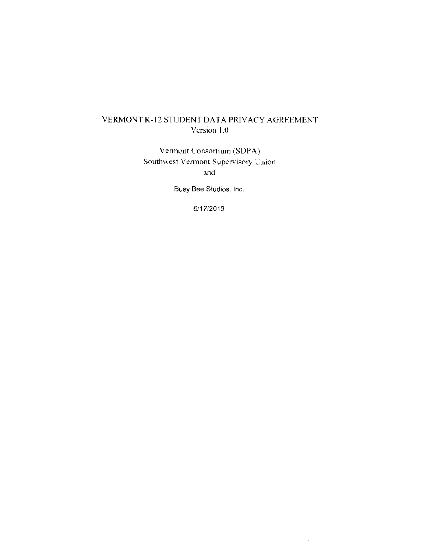# VERMONT K-12 STUDENT DATA PRIVACY AGREEMENT Version 1.0

Vermont Consortium (SDPA) Southwest Vermont Supervisory Union and

Busy Bee Studios, Inc.

6/17/2019

 $\bar{\mathcal{L}}$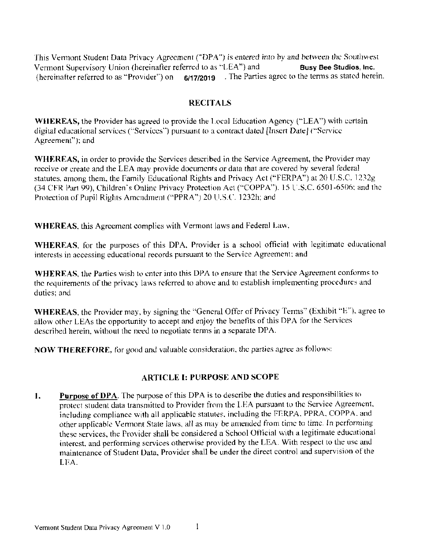This Vermont Student Data Privacy Agreement ("DPA") is entered into by and between the Southwest Vermont Supervisory Union (hereinafter referred to as "LEA") and **Busy Bee Studios, Inc.** (hereinafter referred to as "Provider") on 6/17/2019 . The Parties agree to the terms as stated herein.

### **RECITALS**

**WHEREAS**, the Provider has agreed to provide the Local Education Agency ("LEA") with certain digital educational services ("Services") pursuant to a contract dated [Insert Date] ("Service Agreement"); and

**WHEREAS**, in order to provide the Services described in the Service Agreement, the Provider may receive or create and the LEA may provide documents or data that are covered by several federal statutes, among them, the Family Educational Rights and Privacy Act ("FERPA") at 20 U.S.C. 1232g (34 CFR Part 99), Children's Online Privacy Protection Act ("COPPA"). 15 U.S.C. 6501-6506; and the Protection of Pupil Rights Amendment ("PPRA") 20 U.S.C. 1232h; and

**WHEREAS**, this Agreement complies with Vermont laws and Federal Law.

WHEREAS, for the purposes of this DPA, Provider is a school official with legitimate educational interests in accessing educational records pursuant to the Service Agreement; and

WHEREAS, the Partics wish to enter into this DPA to ensure that the Service Agreement conforms to the requirements of the privacy laws referred to above and to establish implementing procedures and duties: and

WHEREAS, the Provider may, by signing the "General Offer of Privacy Terms" (Exhibit "E"), agree to allow other LEAs the opportunity to accept and enjoy the benefits of this DPA for the Services described herein, without the need to negotiate terms in a separate DPA.

NOW THEREFORE, for good and valuable consideration, the parties agree as follows:

### **ARTICLE I: PURPOSE AND SCOPE**

**Purpose of DPA**. The purpose of this DPA is to describe the duties and responsibilities to 1. protect student data transmitted to Provider from the LEA pursuant to the Service Agreement, including compliance with all applicable statutes, including the FERPA, PPRA, COPPA, and other applicable Vermont State laws, all as may be amended from time to time. In performing these services, the Provider shall be considered a School Official with a legitimate educational interest, and performing services otherwise provided by the LEA. With respect to the use and maintenance of Student Data, Provider shall be under the direct control and supervision of the LEA.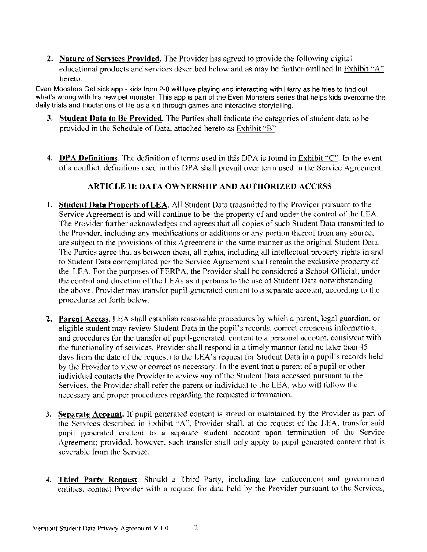**2.** Nature of Services Provided. The Provider has agreed to provide the following digital educational products and services described below and as may be further outlined in Exhibit "A" hereto:

Even Monsters Get sick app - kids from 2-8 will love playing and interacting with Harry as he tries to find out what's wrong with his new pet monster. This app is part of the Even Monsters series that helps kids overcome the daily trials and tribulations of life as a kid through games and interactive storytelling.

- 3. Student Data to Be Provided. The Parties shall indicate the categories of student data to be provided in the Schedule of Data, attached hereto as Exhibit "B"
- 4. DPA Definitions. The definition of terms used in this DPA is found in Exhibit "C". In the event of a conflict, definitions used in this DPA shall prevail over term used in the Service Agreement.

# **ARTICLE II: DATA OWNERSHIP AND AUTHORIZED ACCESS**

- **1. Student Data Property of LEA.** All Student Data transmitted to the Provider pursuant to the Service Agreement is and will continue to be the property of and under the control of the LEA. The Provider further acknowledges and agrees that all copies of such Student Data transmitted to the Provider, including any modifications or additions or any portion thereof from any source, are subject to the provisions of this Agreement in the same manner as the original Student Data. The Partics agree that as between them, all rights, including all intellectual property rights in and to Student Data contemplated per the Service Agreement shall remain the exclusive property of the LEA. For the purposes of FERPA, the Provider shall be considered a School Official, under the control and direction of the LEAs as it pertains to the use of Student Data notwithstanding the above. Provider may transfer pupil-generated content to a separate account, according to the procedures set forth below.
- 2. Parent Access. LEA shall establish reasonable procedures by which a parent, legal guardian, or eligible student may review Student Data in the pupil's records, correct erroneous information, and procedures for the transfer of pupil-generated content to a personal account, consistent with the functionality of services. Provider shall respond in a timely manner (and no later than 45 days from the date of the request) to the LEA's request for Student Data in a pupil's records held by the Provider to view or correct as necessary. In the event that a parent of a pupil or other individual contacts the Provider to review any of the Student Data accessed pursuant to the Services, the Provider shall refer the parent or individual to the LEA, who will follow the necessary and proper procedures regarding the requested information.
- 3. Separate Account. If pupil generated content is stored or maintained by the Provider as part of the Services described in Exhibit "A", Provider shall, at the request of the LEA, transfer said pupil generated content to a separate student account upon termination of the Service Agreement; provided, however, such transfer shall only apply to pupil generated content that is severable from the Service.
- 4. Third Party Request. Should a Third Party, including law enforcement and government entities, contact Provider with a request for data held by the Provider pursuant to the Services,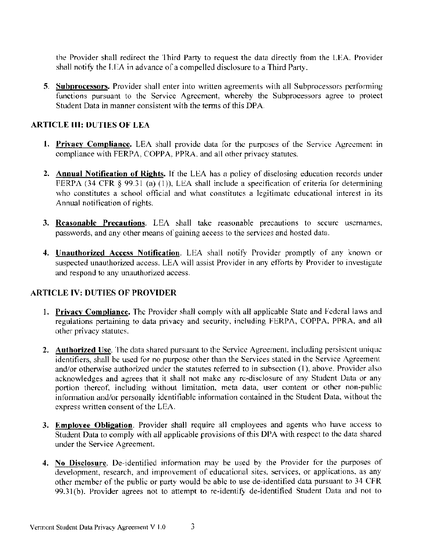the Provider shall redirect the Third Party to request the data directly from the LEA. Provider shall notify the LEA in advance of a compelled disclosure to a Third Party.

5. Subprocessors. Provider shall enter into written agreements with all Subprocessors performing functions pursuant to the Service Agreement, whereby the Subprocessors agree to protect Student Data in manner consistent with the terms of this DPA.

### **ARTICLE III: DUTIES OF LEA**

- 1. Privacy Compliance. LEA shall provide data for the purposes of the Service Agreement in compliance with FERPA, COPPA, PPRA, and all other privacy statutes.
- 2. Annual Notification of Rights. If the LEA has a policy of disclosing education records under FERPA (34 CFR  $\S$  99.31 (a) (1)), LEA shall include a specification of criteria for determining who constitutes a school official and what constitutes a legitimate educational interest in its Annual notification of rights.
- 3. Reasonable Precautions. LEA shall take reasonable precautions to secure usemames, passwords, and any other means of gaining access to the services and hosted data.
- 4. Unauthorized Access Notification. LEA shall notify Provider promptly of any known or suspected unauthorized access. LEA will assist Provider in any efforts by Provider to investigate and respond to any unauthorized access.

# **ARTICLE IV: DUTIES OF PROVIDER**

- 1. Privacy Compliance. The Provider shall comply with all applicable State and Federal laws and regulations pertaining to data privacy and security, including FERPA, COPPA, PPRA, and all other privacy statutes.
- 2. Authorized Use. The data shared pursuant to the Service Agreement. including persistent unique identifiers, shall be used for no purpose other than the Services stated in the Service Agreement and/or otherwise authorized under the statutes referred to in subsection (1), above. Provider also acknowledges and agrees that it shall not make any re-disclosure of any Student Data or any portion thereof, including without limitation, meta data, user content or other non-public information and/or personally identifiable information contained in the Student Data, without the express written consent of the LEA.
- 3. Employee Obligation. Provider shall require all employees and agents who have access to Student Data to comply with all applicable provisions of this DPA with respect to the data shared under the Service Agreement.
- 4. No Disclosure. De-identified information may be used by the Provider for the purposes of development, research, and improvement of educational sites, services, or applications, as any other member of the public or party would be able to use de-identified data pursuant to 34 CFR 99.31(b). Provider agrees not to attempt to re-identify de-identified Student Data and not to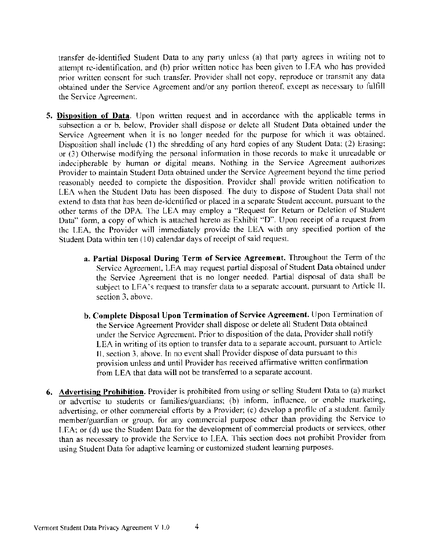transfer de-identified Student Data to any party unless (a) that party agrees in writing not to attempt re-identification, and (b) prior written notice has been given to LEA who has provided prior written consent for such transfer. Provider shall not copy, reproduce or transmit any data obtained under the Service Agreement and/or any portion thereof, except as necessary to fulfill the Service Agreement.

- 5. Disposition of Data. Upon written request and in accordance with the applicable terms in subsection a or b, below. Provider shall dispose or delete all Student Data obtained under the Service Agreement when it is no longer needed for the purpose for which it was obtained. Disposition shall include (1) the shredding of any hard copies of any Student Data; (2) Erasing; or (3) Otherwise modifying the personal information in those records to make it unreadable or indecipherable by human or digital means. Nothing in the Service Agreement authorizes Provider to maintain Student Data obtained under the Service Agreement beyond the time period reasonably needed to complete the disposition. Provider shall provide written notification to LEA when the Student Data has been disposed. The duty to dispose of Student Data shall not extend to data that has been de-identified or placed in a separate Student account, pursuant to the other terms of the DPA. The LEA may employ a "Request for Return or Deletion of Student Data" form, a copy of which is attached hereto as Exhibit "D". Upon receipt of a request from the LEA, the Provider will immediately provide the LEA with any specified portion of the Student Data within ten (10) calendar days of receipt of said request.
	- a. Partial Disposal During Term of Service Agreement. Throughout the Term of the Service Agreement, LEA may request partial disposal of Student Data obtained under the Service Agreement that is no longer needed. Partial disposal of data shall be subject to LEA's request to transfer data to a separate account, pursuant to Article II. section 3, above.
	- b. Complete Disposal Upon Termination of Service Agreement. Upon Termination of the Service Agreement Provider shall dispose or delete all Student Data obtained under the Service Agreement. Prior to disposition of the data, Provider shall notify LEA in writing of its option to transfer data to a separate account, pursuant to Article II, section 3, above. In no event shall Provider dispose of data pursuant to this provision unless and until Provider has received affirmative written confirmation from LEA that data will not be transferred to a separate account.
- 6. Advertising Prohibition. Provider is prohibited from using or selling Student Data to (a) market or advertise to students or families/guardians; (b) inform, influence, or enable marketing, advertising, or other commercial efforts by a Provider; (c) develop a profile of a student. family member/guardian or group, for any commercial purpose other than providing the Service to LEA; or (d) use the Student Data for the development of commercial products or services, other than as necessary to provide the Service to LEA. This section does not prohibit Provider from using Student Data for adaptive learning or customized student learning purposes.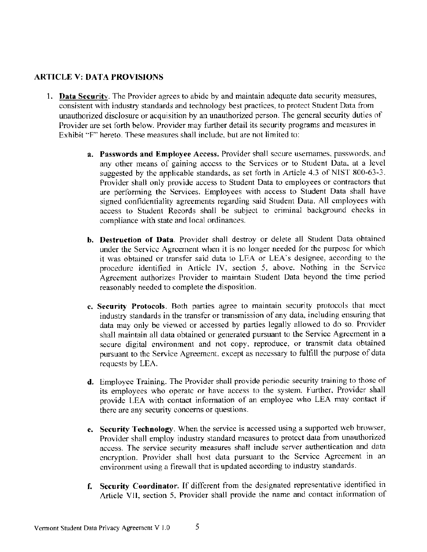# **ARTICLE V: DATA PROVISIONS**

- 1. Data Security. The Provider agrees to abide by and maintain adequate data security measures, consistent with industry standards and technology best practices, to protect Student Data from unauthorized disclosure or acquisition by an unauthorized person. The general security duties of Provider are set forth below. Provider may further detail its security programs and measures in Exhibit "F" hereto. These measures shall include, but are not limited to:
	- a. Passwords and Employee Access. Provider shall secure usernames, passwords, and any other means of gaining access to the Services or to Student Data, at a level suggested by the applicable standards, as set forth in Article 4.3 of NIST 800-63-3. Provider shall only provide access to Student Data to employees or contractors that are performing the Services. Employees with access to Student Data shall have signed confidentiality agreements regarding said Student Data. All employees with access to Student Records shall be subject to criminal background checks in compliance with state and local ordinances.
	- b. Destruction of Data. Provider shall destroy or delete all Student Data obtained under the Service Agreement when it is no longer needed for the purpose for which it was obtained or transfer said data to LEA or LEA's designee, according to the procedure identified in Article IV, section 5, above. Nothing in the Service Agreement authorizes Provider to maintain Student Data beyond the time period reasonably needed to complete the disposition.
	- c. Security Protocols. Both parties agree to maintain security protocols that meet industry standards in the transfer or transmission of any data, including ensuring that data may only be viewed or accessed by parties legally allowed to do so. Provider shall maintain all data obtained or generated pursuant to the Service Agreement in a secure digital environment and not copy, reproduce, or transmit data obtained pursuant to the Service Agreement, except as necessary to fulfill the purpose of data requests by LEA.
	- d. Employee Training. The Provider shall provide periodic security training to those of its employees who operate or have access to the system. Further, Provider shall provide LEA with contact information of an employee who LEA may contact if there are any security concerns or questions.
	- e. Security Technology. When the service is accessed using a supported web browser, Provider shall employ industry standard measures to protect data from unauthorized access. The service security measures shall include server authentication and data encryption. Provider shall host data pursuant to the Service Agreement in an environment using a firewall that is updated according to industry standards.
	- f. Security Coordinator. If different from the designated representative identified in Article VII, section 5, Provider shall provide the name and contact information of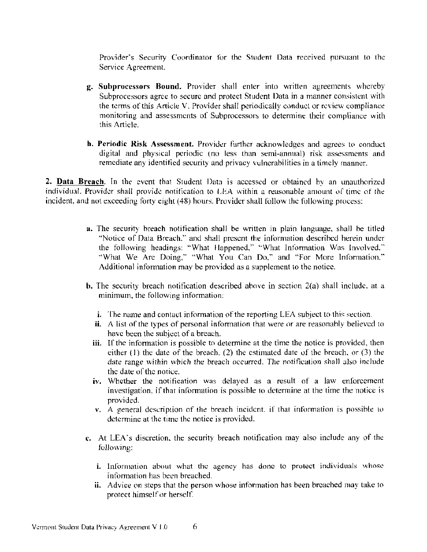Provider's Security Coordinator for the Student Data received pursuant to the Service Agreement.

- **g.** Subprocessors Bound. Provider shall enter into written agreements whereby Subprocessors agree to secure and protect Student Data in a manner consistent with the terms of this Article V. Provider shall periodically conduct or review compliance monitoring and assessments of Subprocessors to determine their compliance with this Article.
- **h. Periodic Risk Assessment.** Provider further acknowledges and agrees to conduct digital and physical periodic (no less than semi-annual) risk assessments and remediate any identified security and privacy vulnerabilities in a timely manner.

2. Data Breach. In the event that Student Data is accessed or obtained by an unauthorized individual. Provider shall provide notification to LEA within a reasonable amount of time of the incident, and not exceeding forty eight (48) hours. Provider shall follow the following process:

- a. The security breach notification shall be written in plain language, shall be titled "Notice of Data Breach," and shall present the information described herein under the following headings: "What Happened," "What Information Was Involved." "What We Are Doing," "What You Can Do," and "For More Information." Additional information may be provided as a supplement to the notice.
- **b.** The security breach notification described above in section  $2(a)$  shall include, at a minimum, the following information:
	- **i.** The name and contact information of the reporting LEA subject to this section.
	- ii. A list of the types of personal information that were or are reasonably believed to have been the subject of a breach.
	- iii. If the information is possible to determine at the time the notice is provided, then either  $(1)$  the date of the breach,  $(2)$  the estimated date of the breach, or  $(3)$  the date range within which the breach occurred. The notification shall also include the date of the notice.
	- iv. Whether the notification was delayed as a result of a law enforcement investigation, if that information is possible to determine at the time the notice is provided.
	- $\mathbf{v}$ . A general description of the breach incident, if that information is possible to determine at the time the notice is provided.
- c. At LEA's discretion, the security breach notification may also include any of the following:
	- i. Information about what the agency has done to protect individuals whose information has been breached.
	- ii. Advice on steps that the person whose information has been breached may take to protect himself or herself.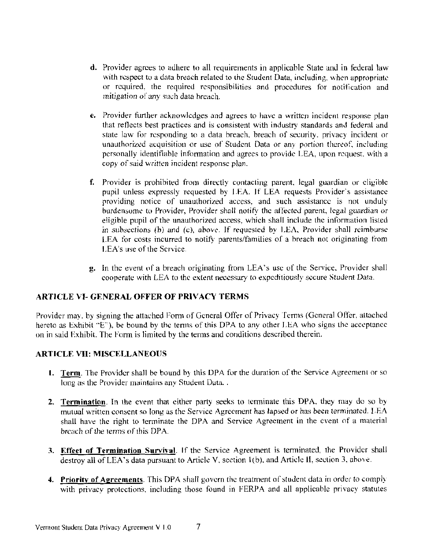- **d.** Provider agrees to adhere to all requirements in applicable State and in federal law with respect to a data breach related to the Student Data, including, when appropriate or required, the required responsibilities and procedures for notification and mitigation of any such data breach.
- e. Provider further acknowledges and agrees to have a written incident response plan that reflects best practices and is consistent with industry standards and federal and state law for responding to a data breach, breach of security, privacy incident or unauthorized acquisition or use of Student Data or any portion thereof, including personally identifiable information and agrees to provide LEA, upon request, with a copy of said written incident response plan.
- f. Provider is prohibited from directly contacting parent, legal guardian or eligible pupil unless expressly requested by LEA. If LEA requests Provider's assistance providing notice of unauthorized access, and such assistance is not unduly burdensome to Provider, Provider shall notify the affected parent, legal guardian or eligible pupil of the unauthorized access, which shall include the information listed in subsections (b) and (c), above. If requested by LEA, Provider shall reimburse LEA for costs incurred to notify parents/families of a breach not originating from LEA's use of the Service.
- **g.** In the event of a breach originating from LEA's use of the Service, Provider shall cooperate with LEA to the extent necessary to expeditiously secure Student Data.

# **ARTICLE VI- GENERAL OFFER OF PRIVACY TERMS**

Provider may, by signing the attached Form of General Offer of Privacy Terms (General Offer, attached hereto as Exhibit "E"), be bound by the terms of this DPA to any other LEA who signs the acceptance on in said Exhibit. The Form is limited by the terms and conditions described therein.

# **ARTICLE VII: MISCELLANEOUS**

- 1. Term, The Provider shall be bound by this DPA for the duration of the Service Agreement or so long as the Provider maintains any Student Data...
- 2. Termination. In the event that either party seeks to terminate this DPA, they may do so by mutual written consent so long as the Service Agreement has lapsed or has been terminated. LEA shall have the right to terminate the DPA and Service Agreement in the event of a material breach of the terms of this DPA.
- 3. Effect of Termination Survival. If the Service Agreement is terminated, the Provider shall destroy all of LEA's data pursuant to Article V, section 1(b), and Article II, section 3, above.
- 4. Priority of Agreements. This DPA shall govern the treatment of student data in order to comply with privacy protections, including those found in FERPA and all applicable privacy statutes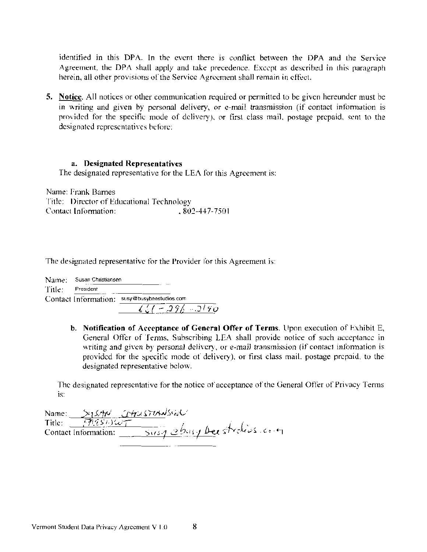identified in this DPA. In the event there is conflict between the DPA and the Service Agreement, the DPA shall apply and take precedence. Except as described in this paragraph herein, all other provisions of the Service Agreement shall remain in effect.

**5.** Notice, All notices or other communication required or permitted to be given hereunder must be in writing and given by personal delivery, or e-mail transmission (if contact information is provided for the specific mode of delivery), or first class mail, postage prepaid, sent to the designated representatives before:

#### a. Designated Representatives

The designated representative for the LEA for this Agreement is:

Name: Frank Barnes Title: Director of Educational Technology Contact Information:  $, 802 - 447 - 7501$ 

The designated representative for the Provider for this Agreement is:

| Name:- | Susan Christiansen |                                              |
|--------|--------------------|----------------------------------------------|
| Title: | President          |                                              |
|        |                    | Contact Information: susy@busybeestudios.com |
|        |                    | $661 - 296 - 2190$                           |

b. Notification of Acceptance of General Offer of Terms. Upon execution of Exhibit E, General Offer of Terms, Subscribing LEA shall provide notice of such acceptance in writing and given by personal delivery, or e-mail transmission (if contact information is provided for the specific mode of delivery), or first class mail, postage prepaid, to the designated representative below.

The designated representative for the notice of acceptance of the General Offer of Privacy Terms is:

| Name: >15AN CHUSTIANSIN         |                          |
|---------------------------------|--------------------------|
| $-$ 99.86) $\omega$ -<br>Title: |                          |
| Contact Information:            | Susy chasy beestrations. |
|                                 |                          |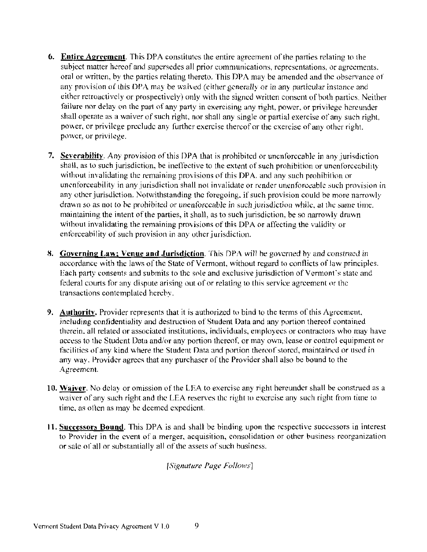- **6.** Entire Agreement. This DPA constitutes the entire agreement of the parties relating to the subject matter hereof and supersedes all prior communications, representations, or agreements. oral or written, by the parties relating thereto. This DPA may be amended and the observance of any provision of this DPA may be waived (either generally or in any particular instance and either retroactively or prospectively) only with the signed written consent of both parties. Neither failure nor delay on the part of any party in exercising any right, power, or privilege hereunder shall operate as a waiver of such right, nor shall any single or partial exercise of any such right, power, or privilege preclude any further exercise thereof or the exercise of any other right. power, or privilege.
- 7. Severability. Any provision of this DPA that is prohibited or unenforceable in any jurisdiction shall, as to such jurisdiction, be ineffective to the extent of such prohibition or unenforceability without invalidating the remaining provisions of this DPA, and any such prohibition or unenforceability in any jurisdiction shall not invalidate or render unenforceable such provision in any other jurisdiction. Notwithstanding the foregoing, if such provision could be more narrowly drawn so as not to be prohibited or unenforceable in such jurisdiction while, at the same time. maintaining the intent of the parties, it shall, as to such jurisdiction, be so narrowly drawn without invalidating the remaining provisions of this DPA or affecting the validity or enforceability of such provision in any other jurisdiction.
- 8. Governing Law: Venue and Jurisdiction. This DPA will be governed by and construed in accordance with the laws of the State of Vermont, without regard to conflicts of law principles. Each party consents and submits to the sole and exclusive jurisdiction of Vermont's state and federal courts for any dispute arising out of or relating to this service agreement or the transactions contemplated hereby.
- 9. Authority. Provider represents that it is authorized to bind to the terms of this Agreement, including confidentiality and destruction of Student Data and any portion thereof contained therein, all related or associated institutions, individuals, employees or contractors who may have access to the Student Data and/or any portion thereof, or may own, lease or control equipment or facilities of any kind where the Student Data and portion thereof stored, maintained or used in any way. Provider agrees that any purchaser of the Provider shall also be bound to the Agreement.
- 10. Waiver. No delay or omission of the LEA to exercise any right hereunder shall be construed as a waiver of any such right and the LEA reserves the right to excreise any such right from time to time, as often as may be decmed expedient.
- 11. Successors Bound. This DPA is and shall be binding upon the respective successors in interest to Provider in the event of a merger, acquisition, consolidation or other business reorganization or sale of all or substantially all of the assets of such business.

[Signature Page Follows]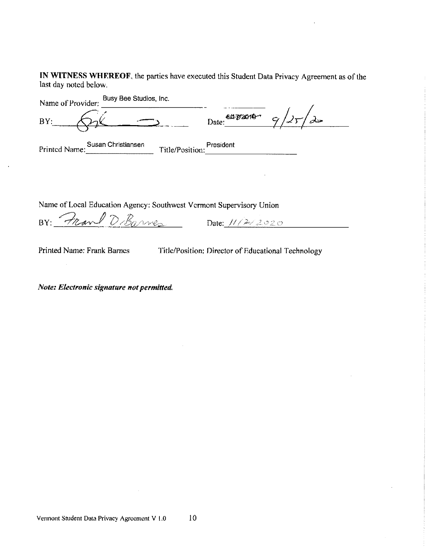IN WITNESS WHEREOF, the parties have executed this Student Data Privacy Agreement as of the last day noted below.

| Name of Provider: | Busy Bee Studios, Inc. |                 |                       |  |
|-------------------|------------------------|-----------------|-----------------------|--|
| BY:               |                        |                 | Date: 6472010- 9/25/2 |  |
| Printed Name:     | Susan Christiansen     | Title/Position: | President             |  |

Name of Local Education Agency: Southwest Vermont Supervisory Union

BY: Pravel D. Barnes Date: 11/2/2020

Printed Name: Frank Barnes

Title/Position: Director of Educational Technology

Note: Electronic signature not permitted.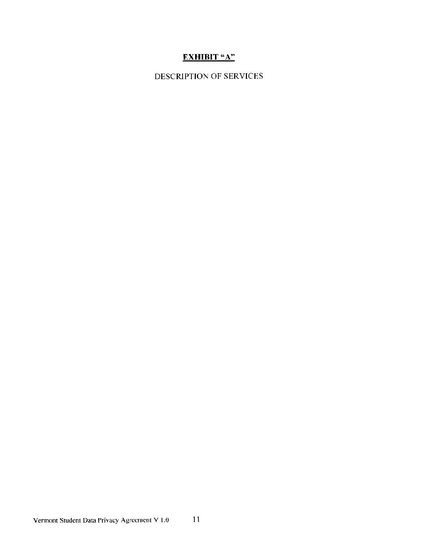# **EXHIBIT "A"**

# DESCRIPTION OF SERVICES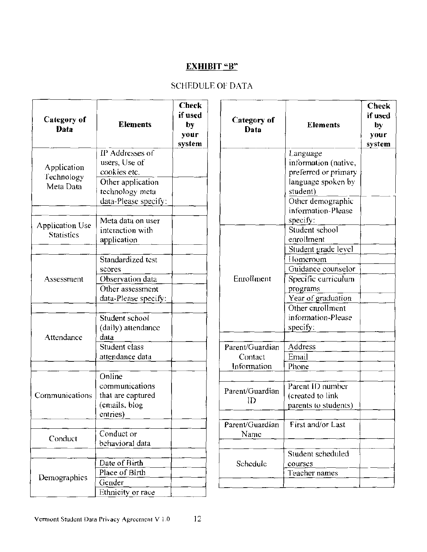# **EXHIBIT "B"**

# SCHEDULE OF DATA

| Category of<br>Data                    | <b>Elements</b>                                                                          | <b>Check</b><br>if used<br>by<br>your<br>system | Category of<br>Data                       | <b>Elements</b>                                                                            | <b>Check</b><br>if used<br>by<br>your<br>system |
|----------------------------------------|------------------------------------------------------------------------------------------|-------------------------------------------------|-------------------------------------------|--------------------------------------------------------------------------------------------|-------------------------------------------------|
| Application<br>Technology<br>Meta Data | IP Addresses of<br>users, Use of<br>cookies etc.<br>Other application<br>technology meta |                                                 |                                           | Language<br>information (native,<br>preferred or primary<br>language spoken by<br>student) |                                                 |
| Application Use                        | data-Please specify:<br>Meta data on user                                                |                                                 |                                           | Other demographic<br>information-Please<br>specify:<br>Student school                      |                                                 |
| <b>Statistics</b>                      | interaction with<br>application<br>Standardized test                                     |                                                 |                                           | enrollment<br>Student grade level<br>Homeroom                                              |                                                 |
| Assessment                             | scores<br>Observation data<br>Other assessment                                           |                                                 | Enrollment                                | Guidance counselor<br>Specific curriculum<br>programs                                      |                                                 |
|                                        | data-Please specify:<br>Student school<br>(daily) attendance                             |                                                 |                                           | Year of graduation<br>Other enrollment<br>information-Please<br>specify:                   |                                                 |
| Attendance                             | data<br>Student class<br>attendance data                                                 |                                                 | Parent/Guardian<br>Contact<br>Information | Address<br>Email<br>Phone                                                                  |                                                 |
| Communications                         | Online<br>communications<br>that are captured<br>(emails, blog<br>entries)               |                                                 | Parent/Guardian<br>ID                     | Parent ID number<br>(created to link<br>parents to students)                               |                                                 |
| Conduct                                | Conduct or<br>behavioral data                                                            |                                                 | Parent/Guardian<br>Name                   | First and/or Last                                                                          |                                                 |
| Demographics                           | Date of Birth<br>Place of Birth                                                          |                                                 | Schedule                                  | Student scheduled<br>courses<br>Teacher names                                              |                                                 |
|                                        | Gender<br>Ethnicity or race                                                              |                                                 |                                           |                                                                                            |                                                 |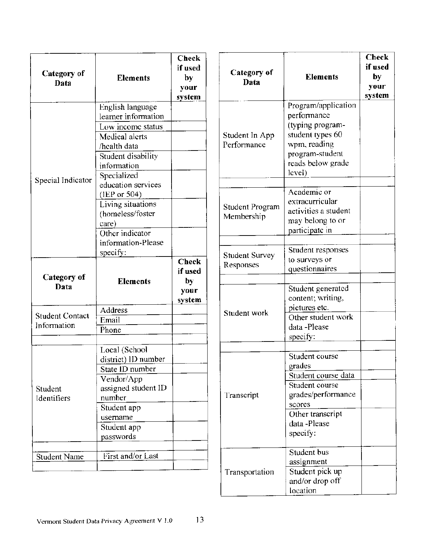| Category of<br>Data                   | <b>Elements</b>                                                                                                        | <b>Check</b><br>if used<br>by<br>your<br>system | Category of<br>Data                  | <b>Elements</b>                                                                                   | <b>Check</b><br>if used<br>by<br>your<br>system |
|---------------------------------------|------------------------------------------------------------------------------------------------------------------------|-------------------------------------------------|--------------------------------------|---------------------------------------------------------------------------------------------------|-------------------------------------------------|
|                                       | English language<br>learner information<br>Low income status                                                           |                                                 |                                      | Program/application<br>performance<br>(typing program-                                            |                                                 |
| Special Indicator                     | Medical alerts<br>/health data<br>Student disability<br>information                                                    |                                                 | Student In App<br>Performance        | student types 60<br>wpm, reading<br>program-student<br>reads below grade<br>level)                |                                                 |
|                                       | Specialized<br>education services<br>(IEP or 504)<br>Living situations<br>(homeless/foster<br>care)<br>Other indicator |                                                 | <b>Student Program</b><br>Membership | Academic or<br>extracurricular<br>activities a student<br>may belong to or<br>participate in      |                                                 |
|                                       | information-Please<br>specify:                                                                                         | <b>Check</b>                                    | <b>Student Survey</b><br>Responses   | Student responses<br>to surveys or<br>questionnaires                                              |                                                 |
| Category of<br>Data                   | <b>Elements</b>                                                                                                        | if used<br>by<br>your<br>system                 |                                      | Student generated<br>content; writing,                                                            |                                                 |
| <b>Student Contact</b><br>Information | <b>Address</b><br>Email<br>Phone                                                                                       |                                                 | Student work                         | pictures etc.<br>Other student work<br>data -Please<br>specify:                                   |                                                 |
| Student<br>Identifiers                | Local (School<br>district) ID number<br>State ID number<br>Vendor/App<br>assigned student ID<br>number                 |                                                 | Transcript                           | Student course<br>grades<br>Student course data<br>Student course<br>grades/performance<br>scores |                                                 |
|                                       | Student app<br>username<br>Student app<br>passwords                                                                    |                                                 |                                      | Other transcript<br>data -Please<br>specify:<br>Student bus                                       |                                                 |
| <b>Student Name</b>                   | First and/or Last                                                                                                      |                                                 | Transportation                       | assignment<br>Student pick up<br>and/or drop off<br>location                                      |                                                 |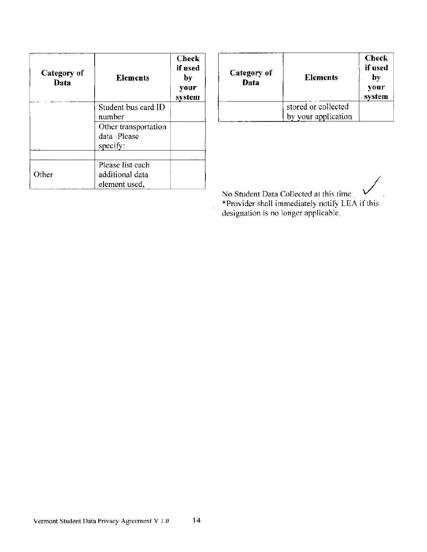| Category of<br>Data | <b>Elements</b>                                      | <b>Check</b><br>if used<br>by<br>your<br>system |
|---------------------|------------------------------------------------------|-------------------------------------------------|
|                     | Student bus card ID<br>number                        |                                                 |
|                     | Other transportation<br>data -Please<br>specify:     |                                                 |
| Other               | Please list each<br>additional data<br>element used, |                                                 |

| Category of<br>Data | <b>Elements</b>                            | <b>Check</b><br>if used<br>by<br>your<br>system |
|---------------------|--------------------------------------------|-------------------------------------------------|
|                     | stored or collected<br>by your application |                                                 |

No Student Data Collected at this time \*Provider shall immediately notify LEA if this<br>designation is no longer applicable.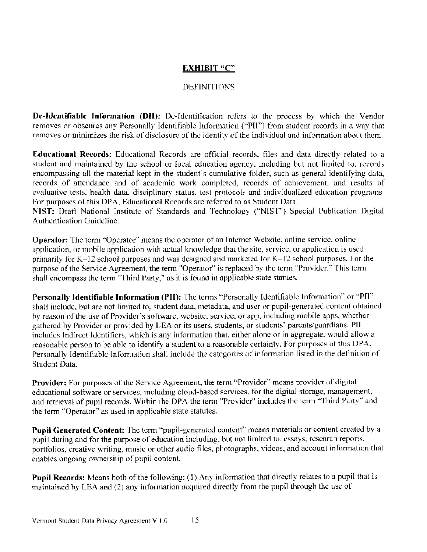### **EXHIBIT "C"**

### **DEFINITIONS**

De-Identifiable Information (DII): De-Identification refers to the process by which the Vendor removes or obscures any Personally Identifiable Information ("PII") from student records in a way that removes or minimizes the risk of disclosure of the identity of the individual and information about them.

**Educational Records:** Educational Records are official records, files and data directly related to a student and maintained by the school or local education agency, including but not limited to, records encompassing all the material kept in the student's cumulative folder, such as general identifying data, records of attendance and of academic work completed, records of achievement, and results of evaluative tests, health data, disciplinary status, test protocols and individualized education programs. For purposes of this DPA, Educational Records are referred to as Student Data.

NIST: Draft National Institute of Standards and Technology ("NIST") Special Publication Digital **Authentication Guideline.** 

Operator: The term "Operator" means the operator of an Internet Website, online service, online application, or mobile application with actual knowledge that the site, service, or application is used primarily for K-12 school purposes and was designed and marketed for K-12 school purposes. For the purpose of the Service Agreement, the term "Operator" is replaced by the term "Provider." This term shall encompass the term "Third Party," as it is found in applicable state statues.

Personally Identifiable Information (PII): The terms "Personally Identifiable Information" or "PII" shall include, but are not limited to, student data, metadata, and user or pupil-generated content obtained by reason of the use of Provider's software, website, service, or app, including mobile apps, whether gathered by Provider or provided by LEA or its users, students, or students' parents/guardians. PH includes Indirect Identifiers, which is any information that, either alone or in aggregate. would allow a reasonable person to be able to identify a student to a reasonable certainty. For purposes of this DPA, Personally Identifiable Information shall include the categories of information listed in the definition of Student Data.

Provider: For purposes of the Service Agreement, the term "Provider" means provider of digital educational software or services, including cloud-based services, for the digital storage, management, and retrieval of pupil records. Within the DPA the term "Provider" includes the term "Third Party" and the term "Operator" as used in applicable state statutes.

Pupil Generated Content: The term "pupil-generated content" means materials or content created by a pupil during and for the purpose of education including, but not limited to, essays, research reports, portfolios, creative writing, music or other audio files, photographs, videos, and account information that enables ongoing ownership of pupil content.

Pupil Records: Means both of the following: (1) Any information that directly relates to a pupil that is maintained by LEA and (2) any information acquired directly from the pupil through the use of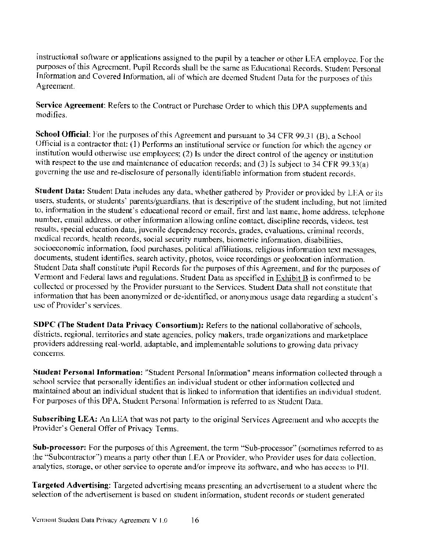instructional software or applications assigned to the pupil by a teacher or other LEA employee. For the purposes of this Agreement, Pupil Records shall be the same as Educational Records. Student Personal Information and Covered Information, all of which are deemed Student Data for the purposes of this Agreement.

Service Agreement: Refers to the Contract or Purchase Order to which this DPA supplements and modifies.

School Official: For the purposes of this Agreement and pursuant to 34 CFR 99.31 (B), a School Official is a contractor that: (1) Performs an institutional service or function for which the agency or institution would otherwise use employees; (2) Is under the direct control of the agency or institution with respect to the use and maintenance of education records; and (3) Is subject to 34 CFR 99.33(a) governing the use and re-disclosure of personally identifiable information from student records.

Student Data: Student Data includes any data, whether gathered by Provider or provided by LEA or its users, students, or students' parents/guardians, that is descriptive of the student including, but not limited to, information in the student's educational record or email, first and last name, home address, telephone number, email address, or other information allowing online contact, discipline records, videos, test results, special education data, juvenile dependency records, grades, evaluations, criminal records, medical records, health records, social security numbers, biometric information, disabilities, socioeconomic information, food purchases, political affiliations, religious information text messages, documents, student identifies, search activity, photos, voice recordings or geolocation information. Student Data shall constitute Pupil Records for the purposes of this Agreement, and for the purposes of Vermont and Federal laws and regulations. Student Data as specified in Exhibit B is confirmed to be collected or processed by the Provider pursuant to the Services. Student Data shall not constitute that information that has been anonymized or de-identified, or anonymous usage data regarding a student's use of Provider's services.

SDPC (The Student Data Privacy Consortium): Refers to the national collaborative of schools, districts, regional, territories and state agencies, policy makers, trade organizations and marketplace providers addressing real-world, adaptable, and implementable solutions to growing data privacy concerns.

Student Personal Information: "Student Personal Information" means information collected through a school service that personally identifies an individual student or other information collected and maintained about an individual student that is linked to information that identifies an individual student. For purposes of this DPA, Student Personal Information is referred to as Student Data.

Subscribing LEA: An LEA that was not party to the original Services Agreement and who accepts the Provider's General Offer of Privacy Terms.

Sub-processor: For the purposes of this Agreement, the term "Sub-processor" (sometimes referred to as the "Subcontractor") means a party other than LEA or Provider, who Provider uses for data collection. analytics, storage, or other service to operate and/or improve its software, and who has access to PII.

**Targeted Advertising:** Targeted advertising means presenting an advertisement to a student where the selection of the advertisement is based on student information, student records or student generated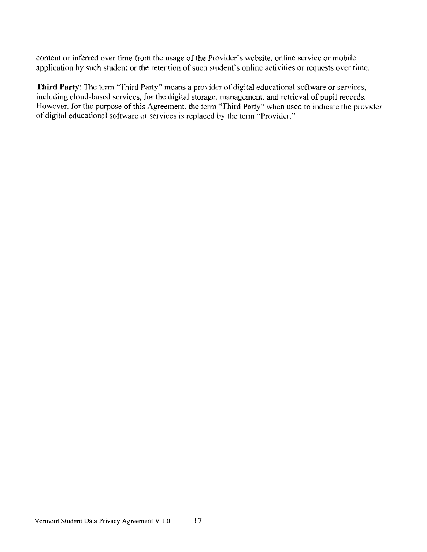content or inferred over time from the usage of the Provider's website, online service or mobile application by such student or the retention of such student's online activities or requests over time.

Third Party: The term "Third Party" means a provider of digital educational software or services, including cloud-based services, for the digital storage, management, and retrieval of pupil records. However, for the purpose of this Agreement, the term "Third Party" when used to indicate the provider of digital educational software or services is replaced by the term "Provider."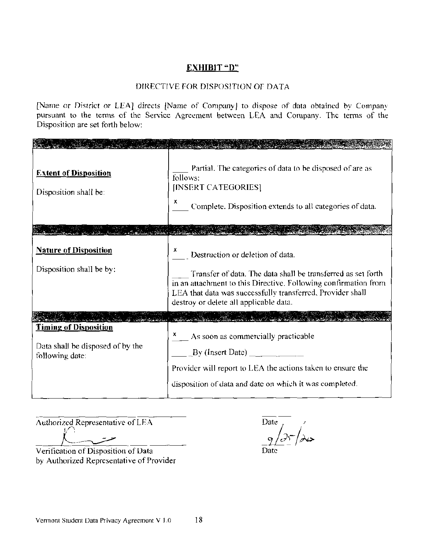# **EXHIBIT** "D"

### DIRECTIVE FOR DISPOSITION OF DATA

[Name or District or LEA] directs [Name of Company] to dispose of data obtained by Company pursuant to the terms of the Service Agreement between LEA and Company. The terms of the Disposition are set forth below:

| <b>Extent of Disposition</b><br>Disposition shall be:                               | Partial. The categories of data to be disposed of are as<br>follows:<br>[INSERT CATEGORIES]<br>x.<br>Complete. Disposition extends to all categories of data.                                                                                                               |
|-------------------------------------------------------------------------------------|-----------------------------------------------------------------------------------------------------------------------------------------------------------------------------------------------------------------------------------------------------------------------------|
|                                                                                     |                                                                                                                                                                                                                                                                             |
| <b>Nature of Disposition</b><br>Disposition shall be by:                            | Destruction or deletion of data.<br>Transfer of data. The data shall be transferred as set forth<br>in an attachment to this Directive. Following confirmation from<br>LEA that data was successfully transferred, Provider shall<br>destroy or delete all applicable data. |
|                                                                                     |                                                                                                                                                                                                                                                                             |
| <b>Timing of Disposition</b><br>Data shall be disposed of by the<br>following date: | As soon as commercially practicable<br>By (Insert Date) $\qquad \qquad$<br>Provider will report to LEA the actions taken to ensure the<br>disposition of data and date on which it was completed.                                                                           |

Authorized Representative of LEA

Verification of Disposition of Data by Authorized Representative of Provider

Date  $\overline{)}$ ر<br>حلال Date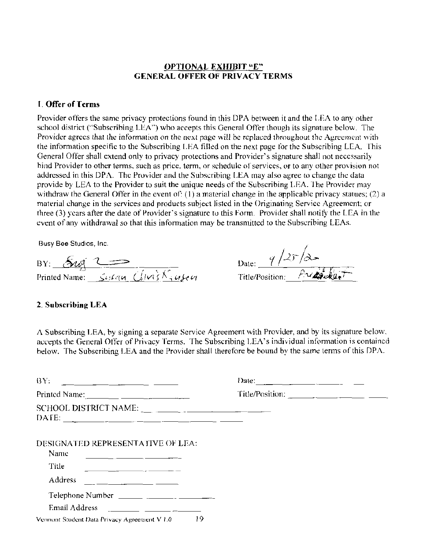### **OPTIONAL EXHIBIT "E" GENERAL OFFER OF PRIVACY TERMS**

### 1. Offer of Terms

Provider offers the same privacy protections found in this DPA between it and the LEA to any other school district ("Subscribing LEA") who accepts this General Offer though its signature below. The Provider agrees that the information on the next page will be replaced throughout the Agreement with the information specific to the Subscribing LEA filled on the next page for the Subscribing LEA. This General Offer shall extend only to privacy protections and Provider's signature shall not necessarily bind Provider to other terms, such as price, term, or schedule of services, or to any other provision not addressed in this DPA. The Provider and the Subscribing LEA may also agree to change the data provide by LEA to the Provider to suit the unique needs of the Subscribing LEA. The Provider may withdraw the General Offer in the event of: (1) a material change in the applicable privacy statues; (2) a material change in the services and products subject listed in the Originating Service Agreement; or three (3) years after the date of Provider's signature to this Form. Provider shall notify the LEA in the event of any withdrawal so that this information may be transmitted to the Subscribing LEAs.

Busy Bee Studios, Inc.

BY:  $\frac{5uq}{2}$  C = Christian Clinics

|                 | 9/25/2    |
|-----------------|-----------|
| Date:           |           |
| Title/Position: | Preparter |

#### 2. Subscribing LEA

A Subscribing LEA, by signing a separate Service Agreement with Provider, and by its signature below. accepts the General Offer of Privacy Terms. The Subscribing LEA's individual information is contained below. The Subscribing LEA and the Provider shall therefore be bound by the same terms of this DPA.

| BY:                                                                                                                                                                                                                                                                                                                | Date: $\frac{1}{\sqrt{1-\frac{1}{2}} \cdot \frac{1}{\sqrt{1-\frac{1}{2}} \cdot \frac{1}{\sqrt{1-\frac{1}{2}} \cdot \frac{1}{\sqrt{1-\frac{1}{2}} \cdot \frac{1}{\sqrt{1-\frac{1}{2}} \cdot \frac{1}{\sqrt{1-\frac{1}{2}} \cdot \frac{1}{\sqrt{1-\frac{1}{2}} \cdot \frac{1}{\sqrt{1-\frac{1}{2}} \cdot \frac{1}{\sqrt{1-\frac{1}{2}} \cdot \frac{1}{\sqrt{1-\frac{1}{2}} \cdot \frac{1}{\sqrt{1-\frac{1}{2}} \cdot \frac{1}{\sqrt{1-\frac{1}{2}}$ |
|--------------------------------------------------------------------------------------------------------------------------------------------------------------------------------------------------------------------------------------------------------------------------------------------------------------------|---------------------------------------------------------------------------------------------------------------------------------------------------------------------------------------------------------------------------------------------------------------------------------------------------------------------------------------------------------------------------------------------------------------------------------------------------|
|                                                                                                                                                                                                                                                                                                                    |                                                                                                                                                                                                                                                                                                                                                                                                                                                   |
| SCHOOL DISTRICT NAME:<br>DATE: $\frac{1}{2}$                                                                                                                                                                                                                                                                       |                                                                                                                                                                                                                                                                                                                                                                                                                                                   |
| DESIGNATED REPRESENTATIVE OF LEA:<br>Name                                                                                                                                                                                                                                                                          |                                                                                                                                                                                                                                                                                                                                                                                                                                                   |
| Title                                                                                                                                                                                                                                                                                                              |                                                                                                                                                                                                                                                                                                                                                                                                                                                   |
| Address                                                                                                                                                                                                                                                                                                            |                                                                                                                                                                                                                                                                                                                                                                                                                                                   |
|                                                                                                                                                                                                                                                                                                                    |                                                                                                                                                                                                                                                                                                                                                                                                                                                   |
| Email Address $\frac{1}{2}$ $\frac{1}{2}$ $\frac{1}{2}$ $\frac{1}{2}$ $\frac{1}{2}$ $\frac{1}{2}$ $\frac{1}{2}$ $\frac{1}{2}$ $\frac{1}{2}$ $\frac{1}{2}$ $\frac{1}{2}$ $\frac{1}{2}$ $\frac{1}{2}$ $\frac{1}{2}$ $\frac{1}{2}$ $\frac{1}{2}$ $\frac{1}{2}$ $\frac{1}{2}$ $\frac{1}{2}$ $\frac{1}{2}$ $\frac{1}{2$ |                                                                                                                                                                                                                                                                                                                                                                                                                                                   |
| 19<br>Vermont Student Data Privacy Agreement V 1.0                                                                                                                                                                                                                                                                 |                                                                                                                                                                                                                                                                                                                                                                                                                                                   |